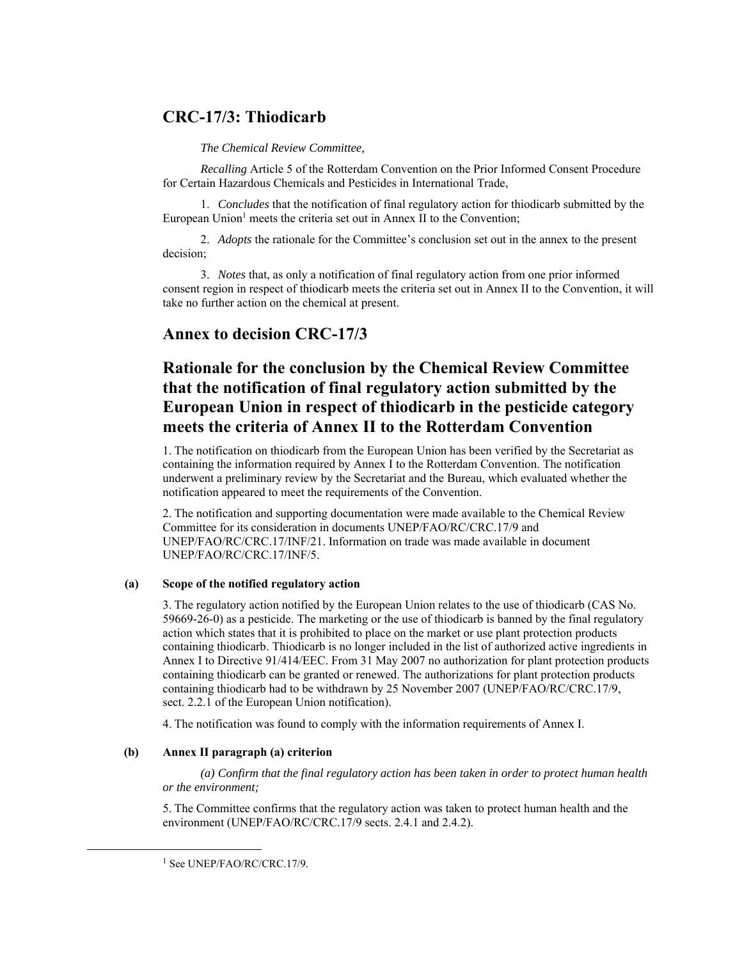# **CRC-17/3: Thiodicarb**

*The Chemical Review Committee,* 

*Recalling* Article 5 of the Rotterdam Convention on the Prior Informed Consent Procedure for Certain Hazardous Chemicals and Pesticides in International Trade,

1. *Concludes* that the notification of final regulatory action for thiodicarb submitted by the European Union<sup>1</sup> meets the criteria set out in Annex II to the Convention;

2. *Adopts* the rationale for the Committee's conclusion set out in the annex to the present decision;

3. *Notes* that, as only a notification of final regulatory action from one prior informed consent region in respect of thiodicarb meets the criteria set out in Annex II to the Convention, it will take no further action on the chemical at present.

# **Annex to decision CRC-17/3**

# **Rationale for the conclusion by the Chemical Review Committee that the notification of final regulatory action submitted by the European Union in respect of thiodicarb in the pesticide category meets the criteria of Annex II to the Rotterdam Convention**

1. The notification on thiodicarb from the European Union has been verified by the Secretariat as containing the information required by Annex I to the Rotterdam Convention. The notification underwent a preliminary review by the Secretariat and the Bureau, which evaluated whether the notification appeared to meet the requirements of the Convention.

2. The notification and supporting documentation were made available to the Chemical Review Committee for its consideration in documents UNEP/FAO/RC/CRC.17/9 and UNEP/FAO/RC/CRC.17/INF/21. Information on trade was made available in document UNEP/FAO/RC/CRC.17/INF/5.

#### **(a) Scope of the notified regulatory action**

3. The regulatory action notified by the European Union relates to the use of thiodicarb (CAS No. 59669-26-0) as a pesticide. The marketing or the use of thiodicarb is banned by the final regulatory action which states that it is prohibited to place on the market or use plant protection products containing thiodicarb. Thiodicarb is no longer included in the list of authorized active ingredients in Annex I to Directive 91/414/EEC. From 31 May 2007 no authorization for plant protection products containing thiodicarb can be granted or renewed. The authorizations for plant protection products containing thiodicarb had to be withdrawn by 25 November 2007 (UNEP/FAO/RC/CRC.17/9, sect. 2.2.1 of the European Union notification).

4. The notification was found to comply with the information requirements of Annex I.

### **(b) Annex II paragraph (a) criterion**

*(a) Confirm that the final regulatory action has been taken in order to protect human health or the environment;* 

5. The Committee confirms that the regulatory action was taken to protect human health and the environment (UNEP/FAO/RC/CRC.17/9 sects. 2.4.1 and 2.4.2).

<sup>&</sup>lt;sup>1</sup> See UNEP/FAO/RC/CRC.17/9.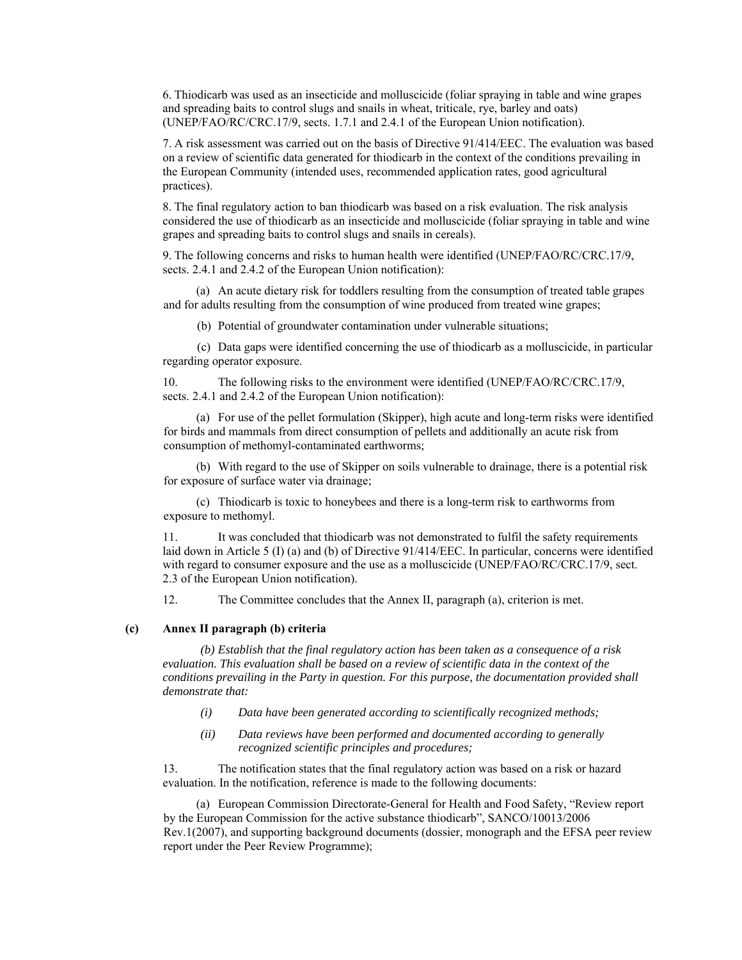6. Thiodicarb was used as an insecticide and molluscicide (foliar spraying in table and wine grapes and spreading baits to control slugs and snails in wheat, triticale, rye, barley and oats) (UNEP/FAO/RC/CRC.17/9, sects. 1.7.1 and 2.4.1 of the European Union notification).

7. A risk assessment was carried out on the basis of Directive 91/414/EEC. The evaluation was based on a review of scientific data generated for thiodicarb in the context of the conditions prevailing in the European Community (intended uses, recommended application rates, good agricultural practices).

8. The final regulatory action to ban thiodicarb was based on a risk evaluation. The risk analysis considered the use of thiodicarb as an insecticide and molluscicide (foliar spraying in table and wine grapes and spreading baits to control slugs and snails in cereals).

9. The following concerns and risks to human health were identified (UNEP/FAO/RC/CRC.17/9, sects. 2.4.1 and 2.4.2 of the European Union notification):

(a) An acute dietary risk for toddlers resulting from the consumption of treated table grapes and for adults resulting from the consumption of wine produced from treated wine grapes;

(b) Potential of groundwater contamination under vulnerable situations;

(c) Data gaps were identified concerning the use of thiodicarb as a molluscicide, in particular regarding operator exposure.

10. The following risks to the environment were identified (UNEP/FAO/RC/CRC.17/9, sects. 2.4.1 and 2.4.2 of the European Union notification):

(a) For use of the pellet formulation (Skipper), high acute and long-term risks were identified for birds and mammals from direct consumption of pellets and additionally an acute risk from consumption of methomyl-contaminated earthworms;

(b) With regard to the use of Skipper on soils vulnerable to drainage, there is a potential risk for exposure of surface water via drainage;

(c) Thiodicarb is toxic to honeybees and there is a long-term risk to earthworms from exposure to methomyl.

11. It was concluded that thiodicarb was not demonstrated to fulfil the safety requirements laid down in Article 5 (I) (a) and (b) of Directive 91/414/EEC. In particular, concerns were identified with regard to consumer exposure and the use as a molluscicide (UNEP/FAO/RC/CRC.17/9, sect. 2.3 of the European Union notification).

12. The Committee concludes that the Annex II, paragraph (a), criterion is met.

#### **(c) Annex II paragraph (b) criteria**

*(b) Establish that the final regulatory action has been taken as a consequence of a risk evaluation. This evaluation shall be based on a review of scientific data in the context of the conditions prevailing in the Party in question. For this purpose, the documentation provided shall demonstrate that:* 

- *(i) Data have been generated according to scientifically recognized methods;*
- *(ii) Data reviews have been performed and documented according to generally recognized scientific principles and procedures;*

13. The notification states that the final regulatory action was based on a risk or hazard evaluation. In the notification, reference is made to the following documents:

(a) European Commission Directorate-General for Health and Food Safety, "Review report by the European Commission for the active substance thiodicarb", SANCO/10013/2006 Rev.1(2007), and supporting background documents (dossier, monograph and the EFSA peer review report under the Peer Review Programme);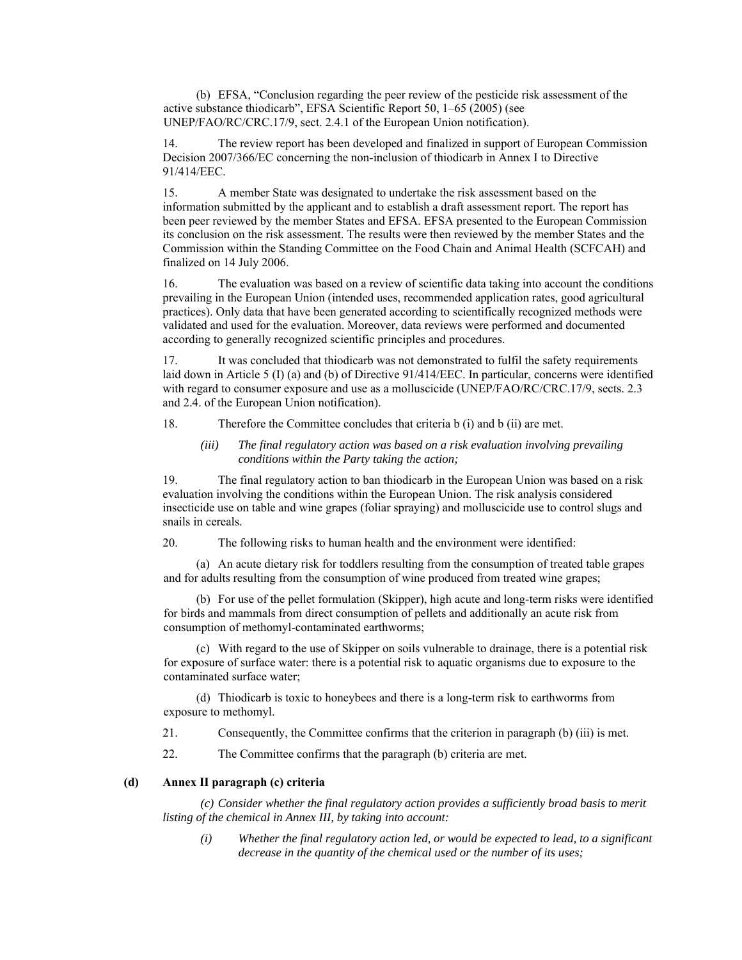(b) EFSA, "Conclusion regarding the peer review of the pesticide risk assessment of the active substance thiodicarb", EFSA Scientific Report 50, 1–65 (2005) (see UNEP/FAO/RC/CRC.17/9, sect. 2.4.1 of the European Union notification).

14. The review report has been developed and finalized in support of European Commission Decision 2007/366/EC concerning the non-inclusion of thiodicarb in Annex I to Directive 91/414/EEC.

15. A member State was designated to undertake the risk assessment based on the information submitted by the applicant and to establish a draft assessment report. The report has been peer reviewed by the member States and EFSA. EFSA presented to the European Commission its conclusion on the risk assessment. The results were then reviewed by the member States and the Commission within the Standing Committee on the Food Chain and Animal Health (SCFCAH) and finalized on 14 July 2006.

16. The evaluation was based on a review of scientific data taking into account the conditions prevailing in the European Union (intended uses, recommended application rates, good agricultural practices). Only data that have been generated according to scientifically recognized methods were validated and used for the evaluation. Moreover, data reviews were performed and documented according to generally recognized scientific principles and procedures.

17. It was concluded that thiodicarb was not demonstrated to fulfil the safety requirements laid down in Article 5 (I) (a) and (b) of Directive 91/414/EEC. In particular, concerns were identified with regard to consumer exposure and use as a molluscicide (UNEP/FAO/RC/CRC.17/9, sects. 2.3 and 2.4. of the European Union notification).

18. Therefore the Committee concludes that criteria b (i) and b (ii) are met.

*(iii) The final regulatory action was based on a risk evaluation involving prevailing conditions within the Party taking the action;* 

19. The final regulatory action to ban thiodicarb in the European Union was based on a risk evaluation involving the conditions within the European Union. The risk analysis considered insecticide use on table and wine grapes (foliar spraying) and molluscicide use to control slugs and snails in cereals.

20. The following risks to human health and the environment were identified:

(a) An acute dietary risk for toddlers resulting from the consumption of treated table grapes and for adults resulting from the consumption of wine produced from treated wine grapes;

(b) For use of the pellet formulation (Skipper), high acute and long-term risks were identified for birds and mammals from direct consumption of pellets and additionally an acute risk from consumption of methomyl-contaminated earthworms;

(c) With regard to the use of Skipper on soils vulnerable to drainage, there is a potential risk for exposure of surface water: there is a potential risk to aquatic organisms due to exposure to the contaminated surface water;

(d) Thiodicarb is toxic to honeybees and there is a long-term risk to earthworms from exposure to methomyl.

21. Consequently, the Committee confirms that the criterion in paragraph (b) (iii) is met.

22. The Committee confirms that the paragraph (b) criteria are met.

#### **(d) Annex II paragraph (c) criteria**

*(c) Consider whether the final regulatory action provides a sufficiently broad basis to merit listing of the chemical in Annex III, by taking into account:* 

*(i) Whether the final regulatory action led, or would be expected to lead, to a significant decrease in the quantity of the chemical used or the number of its uses;*